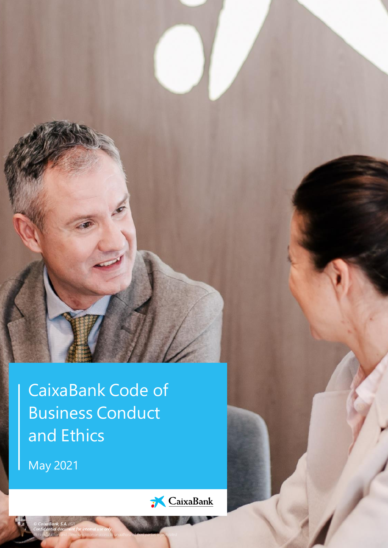CaixaBank Code of Business Conduct and Ethics

*Its reproduction and communication or access to unauthorized third parties is prohibited*

May 2021

*© CaixaBank, S.A. 2021.* 

*Confidential document for internal use only.*

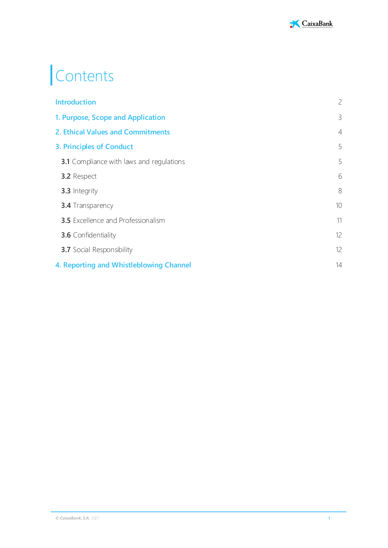

# Contents

| <b>Introduction</b>                             | $\overline{c}$ |
|-------------------------------------------------|----------------|
| 1. Purpose, Scope and Application               | 3              |
| 2. Ethical Values and Commitments               | $\overline{4}$ |
| 3. Principles of Conduct                        | 5              |
| <b>3.1</b> Compliance with laws and regulations | 5              |
| <b>3.2</b> Respect                              | 6              |
| 3.3 Integrity                                   | 8              |
| <b>3.4</b> Transparency                         | 10             |
| <b>3.5</b> Excellence and Professionalism       | 11             |
| <b>3.6</b> Confidentiality                      | 12             |
| <b>3.7</b> Social Responsibility                | 12             |
| 4. Reporting and Whistleblowing Channel         | 14             |
|                                                 |                |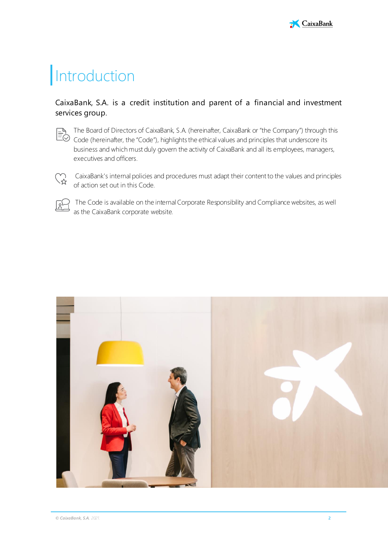

# <span id="page-2-0"></span>**Introduction**

### CaixaBank, S.A. is a credit institution and parent of a financial and investment services group.



The Board of Directors of CaixaBank, S.A. (hereinafter, CaixaBank or "the Company") through this The Board of Directors of Calxabank, S.A. (Hereinalton, Calsabank, S. Code, Independent of Code (hereinafter, the "Code"), highlights the ethical values and principles that underscore its Code (hereinafter, the "Code"), hi business and which must duly govern the activity of CaixaBank and all its employees, managers, executives and officers.



CaixaBank's internal policies and procedures must adapt their content to the values and principles of action set out in this Code.



The Code is available on the internal Corporate Responsibility and Compliance websites, as well as the CaixaBank corporate website.

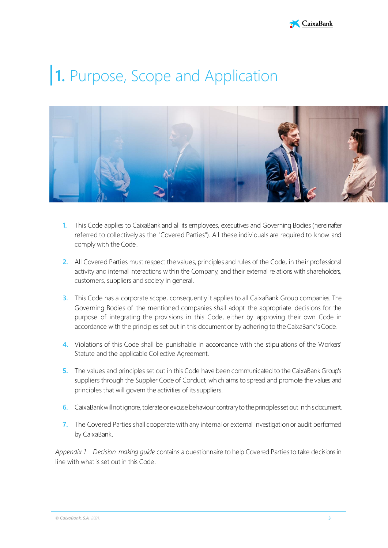

# <span id="page-3-0"></span>**1.** Purpose, Scope and Application



- **1.** This Code applies to CaixaBank and all its employees, executives and Governing Bodies (hereinafter referred to collectively as the "Covered Parties"). All these individuals are required to know and comply with the Code.
- **2.** All Covered Parties must respect the values, principles and rules of the Code, in their professional activity and internal interactions within the Company, and their external relations with shareholders, customers, suppliers and society in general.
- **3.** This Code has a corporate scope, consequently it applies to all CaixaBank Group companies. The Governing Bodies of the mentioned companies shall adopt the appropriate decisions for the purpose of integrating the provisions in this Code, either by approving their own Code in accordance with the principles set out in this document or by adhering to the CaixaBank's Code.
- **4.** Violations of this Code shall be punishable in accordance with the stipulations of the Workers' Statute and the applicable Collective Agreement.
- **5.** The values and principles set out in this Code have been communicated to the CaixaBank Group's suppliers through the Supplier Code of Conduct, which aims to spread and promote the values and principles that will govern the activities of its suppliers.
- **6.** CaixaBank will not ignore, tolerate or excuse behaviour contrary to the principles set out in this document.
- **7.** The Covered Parties shall cooperate with any internal or external investigation or audit performed by CaixaBank.

*Appendix 1 – Decision-making guide* contains a questionnaire to help Covered Parties to take decisions in line with what is set out in this Code.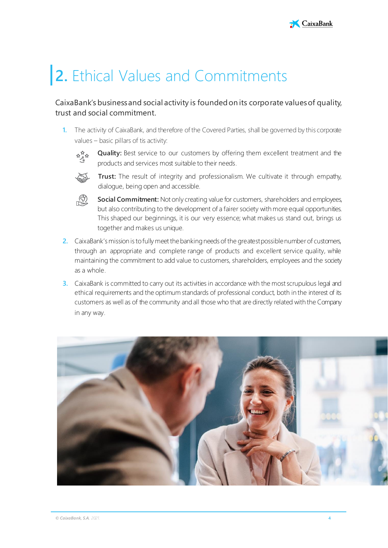# <span id="page-4-0"></span>**2.** Ethical Values and Commitments

### CaixaBank's business and social activity is founded on its corporate values of quality, trust and social commitment.

**1.** The activity of CaixaBank, and therefore of the Covered Parties, shall be governed by this corporate values – basic pillars of tis activity:



**Quality:** Best service to our customers by offering them excellent treatment and the products and services most suitable to their needs.



**Trust:** The result of integrity and professionalism. We cultivate it through empathy, dialogue, being open and accessible.



- **Social Commitment:** Not only creating value for customers, shareholders and employees, but also contributing to the development of a fairer society with more equal opportunities. This shaped our beginnings, it is our very essence; what makes us stand out, brings us together and makes us unique.
- **2.** CaixaBank's mission is to fully meet the banking needs of the greatest possible number of customers, through an appropriate and complete range of products and excellent service quality, while maintaining the commitment to add value to customers, shareholders, employees and the society as a whole.
- **3.** CaixaBank is committed to carry out its activities in accordance with the most scrupulous legal and ethical requirements and the optimum standards of professional conduct, both in the interest of its customers as well as of the community andall those who that are directly related with the Company in any way.

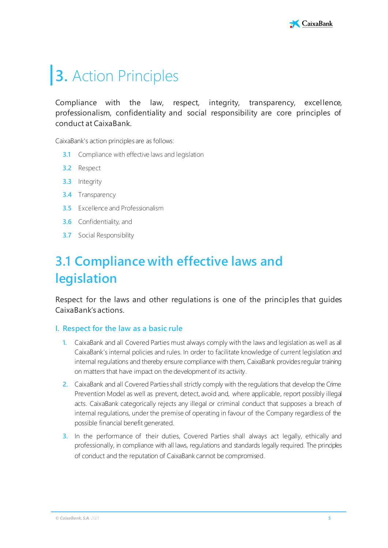# <span id="page-5-0"></span>**3.** Action Principles

Compliance with the law, respect, integrity, transparency, excellence, professionalism, confidentiality and social responsibility are core principles of conduct at CaixaBank.

CaixaBank's action principles are as follows:

- **3.1** Compliance with effective laws and legislation
- **3.2** Respect
- **3.3** Integrity
- **3.4** Transparency
- **3.5** Excellence and Professionalism
- **3.6** Confidentiality, and
- **3.7** Social Responsibility

## <span id="page-5-1"></span>**3.1 Compliance with effective laws and legislation**

Respect for the laws and other regulations is one of the principles that guides CaixaBank's actions.

#### **I. Respect for the law as a basic rule**

- **1.** CaixaBank and all Covered Parties must always comply with the laws and legislation as well as all CaixaBank's internal policies and rules. In order to facilitate knowledge of current legislation and internal regulations and thereby ensure compliance with them, CaixaBank provides regular training on matters that have impact on the development of its activity.
- 2. CaixaBank and all Covered Parties shall strictly comply with the regulations that develop the Crime Prevention Model as well as prevent, detect, avoid and, where applicable, report possibly illegal acts. CaixaBank categorically rejects any illegal or criminal conduct that supposes a breach of internal regulations, under the premise of operating in favour of the Company regardless of the possible financial benefit generated.
- **3.** In the performance of their duties, Covered Parties shall always act legally, ethically and professionally, in compliance with all laws, regulations and standards legally required. The principles of conduct and the reputation of CaixaBank cannot be compromised.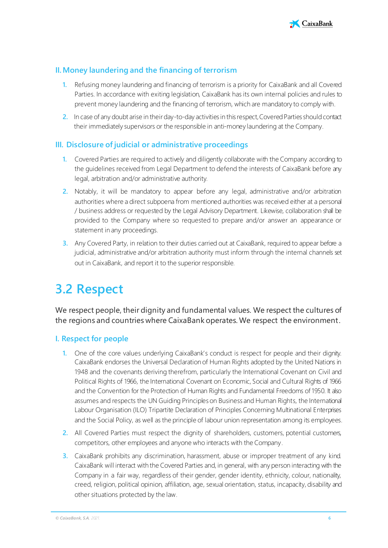

### **II. Money laundering and the financing of terrorism**

- **1.** Refusing money laundering and financing of terrorism is a priority for CaixaBank and all Covered Parties. In accordance with exiting legislation, CaixaBank has its own internal policies and rules to prevent money laundering and the financing of terrorism, which are mandatory to comply with.
- **2.** In case of any doubt arise in their day-to-day activities in this respect, Covered Parties should contact their immediately supervisors or the responsible in anti-money laundering at the Company.

### **III. Disclosure of judicial or administrative proceedings**

- **1.** Covered Parties are required to actively and diligently collaborate with the Company according to the guidelines received from Legal Department to defend the interests of CaixaBank before any legal, arbitration and/or administrative authority.
- **2.** Notably, it will be mandatory to appear before any legal, administrative and/or arbitration authorities where a direct subpoena from mentioned authorities was received either at a personal / business address or requested by the Legal Advisory Department. Likewise, collaboration shall be provided to the Company where so requested to prepare and/or answer an appearance or statement in any proceedings.
- **3.** Any Covered Party, in relation to their duties carried out at CaixaBank, required to appear before a judicial, administrative and/or arbitration authority must inform through the internal channels set out in CaixaBank, and report it to the superior responsible.

## <span id="page-6-0"></span>**3.2 Respect**

We respect people, their dignity and fundamental values. We respect the cultures of the regions and countries where CaixaBank operates. We respect the environment.

### **I. Respect for people**

- **1.** One of the core values underlying CaixaBank's conduct is respect for people and their dignity. CaixaBank endorses the Universal Declaration of Human Rights adopted by the United Nations in 1948 and the covenants deriving therefrom, particularly the International Covenant on Civil and Political Rights of 1966, the International Covenant on Economic, Social and Cultural Rights of 1966 and the Convention for the Protection of Human Rights and Fundamental Freedoms of 1950. It also assumes and respects the UN Guiding Principles on Business and Human Rights, the International Labour Organisation (ILO) Tripartite Declaration of Principles Concerning Multinational Enterprises and the Social Policy, as well as the principle of labour union representation among its employees.
- **2.** All Covered Parties must respect the dignity of shareholders, customers, potential customers, competitors, other employees and anyone who interacts with the Company.
- **3.** CaixaBank prohibits any discrimination, harassment, abuse or improper treatment of any kind. CaixaBank will interact with the Covered Parties and, in general, with any person interacting with the Company in a fair way, regardless of their gender, gender identity, ethnicity, colour, nationality, creed, religion, political opinion, affiliation, age, sexual orientation, status, incapacity, disability and other situations protected by the law.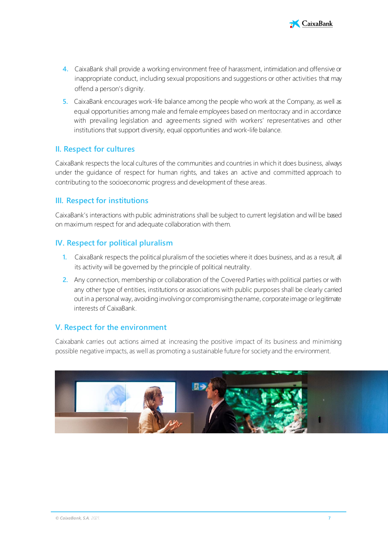

- **4.** CaixaBank shall provide a working environment free of harassment, intimidation and offensive or inappropriate conduct, including sexual propositions and suggestions or other activities that may offend a person's dignity.
- **5.** CaixaBank encourages work-life balance among the people who work at the Company, as well as equal opportunities among male and female employees based on meritocracy and in accordance with prevailing legislation and agreements signed with workers' representatives and other institutions that support diversity, equal opportunities and work-life balance.

### **II. Respect for cultures**

CaixaBank respects the local cultures of the communities and countries in which it does business, always under the guidance of respect for human rights, and takes an active and committed approach to contributing to the socioeconomic progress and development of these areas.

### **III. Respect for institutions**

CaixaBank's interactions with public administrations shall be subject to current legislation and will be based on maximum respect for and adequate collaboration with them.

### **IV. Respect for political pluralism**

- **1.** CaixaBank respects the political pluralism of the societies where it does business, and as a result, all its activity will be governed by the principle of political neutrality.
- **2.** Any connection, membership or collaboration of the Covered Parties with political parties or with any other type of entities, institutions or associations with public purposes shall be clearly carried out in a personal way, avoiding involving or compromising the name, corporate image or legitimate interests of CaixaBank.

### **V. Respect for the environment**

Caixabank carries out actions aimed at increasing the positive impact of its business and minimising possible negative impacts, as well as promoting a sustainable future for society and the environment.

<span id="page-7-0"></span>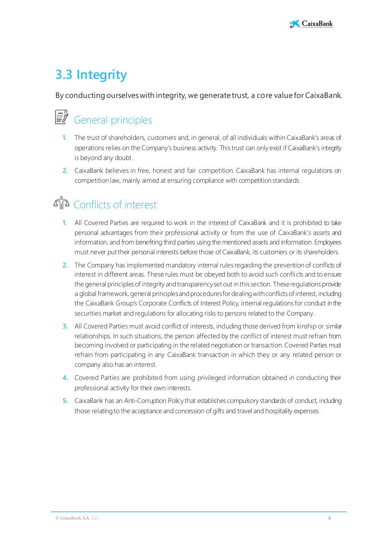

## **3.3 Integrity**

By conducting ourselves with integrity, we generate trust, a core value for CaixaBank.

# General principles

- **1.** The trust of shareholders, customers and, in general, of all individuals within CaixaBank's areas of operations relies on the Company's business activity. This trust can only exist if CaixaBank's integrity is beyond any doubt.
- **2.** CaixaBank believes in free, honest and fair competition. CaixaBank has internal regulations on competition law, mainly aimed at ensuring compliance with competition standards.

## Conflicts of interest

- **1.** All Covered Parties are required to work in the interest of CaixaBank and it is prohibited to take personal advantages from their professional activity or from the use of CaixaBank's assets and information, and from benefiting third parties using the mentioned assets and information. Employees must never put their personal interests before those of CaixaBank, its customers or its shareholders.
- **2.** The Company has implemented mandatory internal rules regarding the prevention of conflicts of interest in different areas. These rules must be obeyed both to avoid such conflicts and to ensure the general principles of integrity and transparency set out in this section. These regulations provide a global framework, general principles and procedures for dealing with conflicts of interest, including the CaixaBank Group's Corporate Conflicts of Interest Policy, internal regulations for conduct in the securities market and regulations for allocating risks to persons related to the Company.
- **3.** All Covered Parties must avoid conflict of interests, including those derived from kinship or similar relationships. In such situations, the person affected by the conflict of interest must refrain from becoming involved or participating in the related negotiation or transaction. Covered Parties must refrain from participating in any CaixaBank transaction in which they or any related person or company also has an interest.
- **4.** Covered Parties are prohibited from using privileged information obtained in conducting their professional activity for their own interests.
- **5.** CaixaBank has an Anti-Corruption Policy that establishes compulsory standards of conduct, including those relating to the acceptance and concession of gifts and travel and hospitality expenses.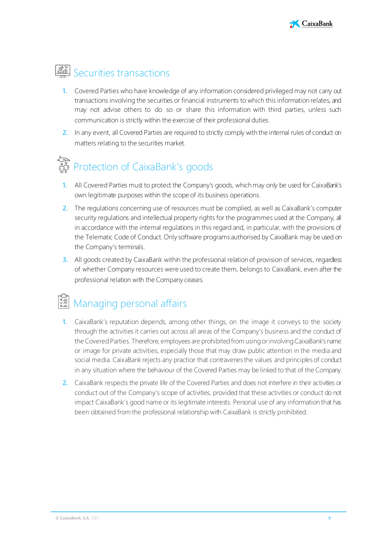

## **圖 Securities transactions**

- **1.** Covered Parties who have knowledge of any information considered privileged may not carry out transactions involving the securities or financial instruments to which this information relates, and may not advise others to do so or share this information with third parties, unless such communication is strictly within the exercise of their professional duties.
- **2.** In any event, all Covered Parties are required to strictly comply with the internal rules of conduct on matters relating to the securities market.

# Protection of CaixaBank's goods

- **1.** All Covered Parties must to protect the Company's goods, which may only be used for CaixaBank's own legitimate purposes within the scope of its business operations.
- **2.** The regulations concerning use of resources must be complied, as well as CaixaBank's computer security regulations and intellectual property rights for the programmes used at the Company, all in accordance with the internal regulations in this regard and, in particular, with the provisions of the Telematic Code of Conduct. Only software programs authorised by CaixaBank may be used on the Company's terminals.
- **3.** All goods created by CaixaBank within the professional relation of provision of services, regardless of whether Company resources were used to create them, belongs to CaixaBank, even after the professional relation with the Company ceases.

## Managing personal affairs

- **1.** CaixaBank's reputation depends, among other things, on the image it conveys to the society through the activities it carries out across all areas of the Company's business and the conduct of the Covered Parties. Therefore, employees are prohibited from using or involving CaixaBank's name or image for private activities, especially those that may draw public attention in the media and social media. CaixaBank rejects any practice that contravenes the values and principles of conduct in any situation where the behaviour of the Covered Parties may be linked to that of the Company.
- **2.** CaixaBank respects the private life of the Covered Parties and does not interfere in their activities or conduct out of the Company's scope of activities, provided that these activities or conduct do not impact CaixaBank's good name or its legitimate interests. Personal use of any information that has been obtained from the professional relationship with CaixaBank is strictly prohibited.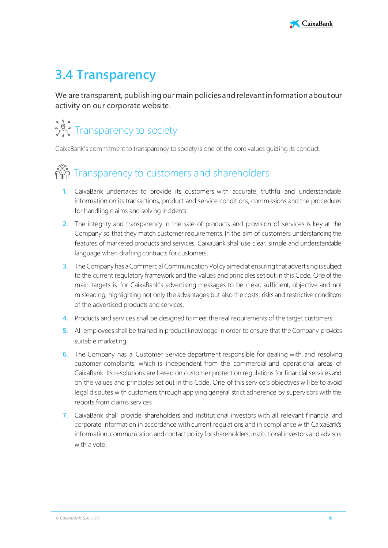## <span id="page-10-0"></span>**3.4 Transparency**

We are transparent, publishing our main policies and relevant information about our activity on our corporate website.

# Transparency to society

CaixaBank's commitment to transparency to society is one of the core values guiding its conduct.

# ្លះ<br>កំណ្ឌិក Transparency to customers and shareholders

- **1.** CaixaBank undertakes to provide its customers with accurate, truthful and understandable information on its transactions, product and service conditions, commissions and the procedures for handling claims and solving incidents.
- **2.** The integrity and transparency in the sale of products and provision of services is key at the Company so that they match customer requirements. In the aim of customers understanding the features of marketed products and services, CaixaBank shall use clear, simple and understandable language when drafting contracts for customers.
- **3.** The Company has a Commercial Communication Policy aimed at ensuring that advertising is subject to the current regulatory framework and the values and principles set out in this Code. One of the main targets is for CaixaBank's advertising messages to be clear, sufficient, objective and not misleading, highlighting not only the advantages but also the costs, risks and restrictive conditions of the advertised products and services.
- **4.** Products and services shall be designed to meet the real requirements of the target customers.
- **5.** All employees shall be trained in product knowledge in order to ensure that the Company provides suitable marketing.
- **6.** The Company has a Customer Service department responsible for dealing with and resolving customer complaints, which is independent from the commercial and operational areas of CaixaBank. Its resolutions are based on customer protection regulations for financial services and on the values and principles set out in this Code. One of this service's objectives will be to avoid legal disputes with customers through applying general strict adherence by supervisors with the reports from claims services.
- **7.** CaixaBank shall provide shareholders and institutional investors with all relevant financial and corporate information in accordance with current regulations and in compliance with CaixaBank's information, communication and contact policy for shareholders, institutional investors and advisors with a vote.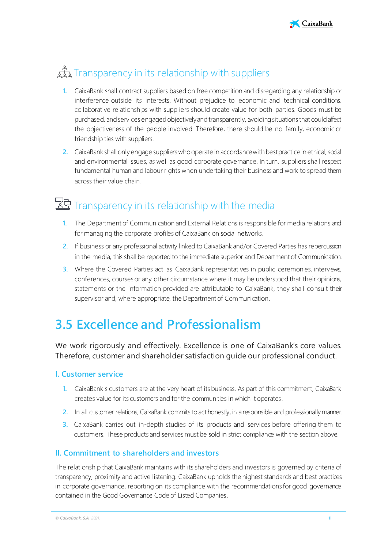

## द्गौर Transparency in its relationship with suppliers

- **1.** CaixaBank shall contract suppliers based on free competition and disregarding any relationship or interference outside its interests. Without prejudice to economic and technical conditions, collaborative relationships with suppliers should create value for both parties. Goods must be purchased, and services engaged objectively and transparently, avoiding situations that could affect the objectiveness of the people involved. Therefore, there should be no family, economic or friendship ties with suppliers.
- **2.** CaixaBank shall only engage suppliers who operate in accordance with best practice in ethical, social and environmental issues, as well as good corporate governance. In turn, suppliers shall respect fundamental human and labour rights when undertaking their business and work to spread them across their value chain.

### 区 Transparency in its relationship with the media

- **1.** The Department of Communication and External Relations is responsible for media relations and for managing the corporate profiles of CaixaBank on social networks.
- **2.** If business or any professional activity linked to CaixaBank and/or Covered Parties has repercussion in the media, this shall be reported to the immediate superior and Department of Communication.
- **3.** Where the Covered Parties act as CaixaBank representatives in public ceremonies, interviews, conferences, courses or any other circumstance where it may be understood that their opinions, statements or the information provided are attributable to CaixaBank, they shall consult their supervisor and, where appropriate, the Department of Communication.

### <span id="page-11-0"></span>**3.5 Excellence and Professionalism**

We work rigorously and effectively. Excellence is one of CaixaBank's core values. Therefore, customer and shareholder satisfaction guide our professional conduct.

### **I. Customer service**

- **1.** CaixaBank's customers are at the very heart of its business. As part of this commitment, CaixaBank creates value for its customers and for the communities in which it operates.
- **2.** In all customer relations, CaixaBank commits to act honestly, in a responsible and professionally manner.
- **3.** CaixaBank carries out in-depth studies of its products and services before offering them to customers. These products and services must be sold in strict compliance with the section above.

### **II. Commitment to shareholders and investors**

The relationship that CaixaBank maintains with its shareholders and investors is governed by criteria of transparency, proximity and active listening. CaixaBank upholds the highest standards and best practices in corporate governance, reporting on its compliance with the recommendations for good governance contained in the Good Governance Code of Listed Companies.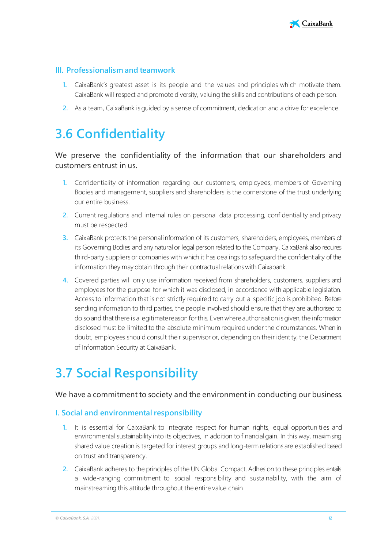

### **III. Professionalism and teamwork**

- **1.** CaixaBank's greatest asset is its people and the values and principles which motivate them. CaixaBank will respect and promote diversity, valuing the skills and contributions of each person.
- **2.** As a team, CaixaBank is guided by a sense of commitment, dedication and a drive for excellence.

### <span id="page-12-0"></span>**3.6 Confidentiality**

### We preserve the confidentiality of the information that our shareholders and customers entrust in us.

- **1.** Confidentiality of information regarding our customers, employees, members of Governing Bodies and management, suppliers and shareholders is the cornerstone of the trust underlying our entire business.
- **2.** Current regulations and internal rules on personal data processing, confidentiality and privacy must be respected.
- **3.** CaixaBank protects the personal information of its customers, shareholders, employees, members of its Governing Bodies and any natural or legal person related to the Company. CaixaBank also requires third-party suppliers or companies with which it has dealings to safeguard the confidentiality of the information they may obtain through their contractual relations with Caixabank.
- **4.** Covered parties will only use information received from shareholders, customers, suppliers and employees for the purpose for which it was disclosed, in accordance with applicable legislation. Access to information that is not strictly required to carry out a specific job is prohibited. Before sending information to third parties, the people involved should ensure that they are authorised to do so and that there is a legitimate reason for this. Even where authorisation is given, the information disclosed must be limited to the absolute minimum required under the circumstances. When in doubt, employees should consult their supervisor or, depending on their identity, the Department of Information Security at CaixaBank.

## <span id="page-12-1"></span>**3.7 Social Responsibility**

#### We have a commitment to society and the environment in conducting our business.

#### **I. Social and environmental responsibility**

- **1.** It is essential for CaixaBank to integrate respect for human rights, equal opportunities and environmental sustainability into its objectives, in addition to financial gain. In this way, maximising shared value creation is targeted for interest groups and long-term relations are established based on trust and transparency.
- **2.** CaixaBank adheres to the principles of the UN Global Compact. Adhesion to these principles entails a wide-ranging commitment to social responsibility and sustainability, with the aim of mainstreaming this attitude throughout the entire value chain.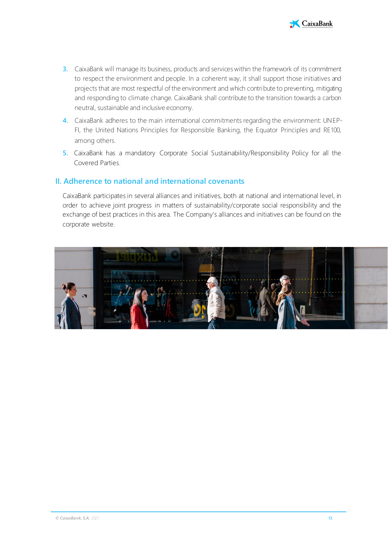

- **3.** CaixaBank will manage its business, products and services within the framework of its commitment to respect the environment and people. In a coherent way, it shall support those initiatives and projects that are most respectful of the environment and which contribute to preventing, mitigating and responding to climate change. CaixaBank shall contribute to the transition towards a carbon neutral, sustainable and inclusive economy.
- **4.** CaixaBank adheres to the main international commitments regarding the environment: UNEP-FI, the United Nations Principles for Responsible Banking, the Equator Principles and RE100, among others.
- **5.** CaixaBank has a mandatory Corporate Social Sustainability/Responsibility Policy for all the Covered Parties.

#### **II. Adherence to national and international covenants**

CaixaBank participates in several alliances and initiatives, both at national and international level, in order to achieve joint progress in matters of sustainability/corporate social responsibility and the exchange of best practices in this area. The Company's alliances and initiatives can be found on the corporate website.

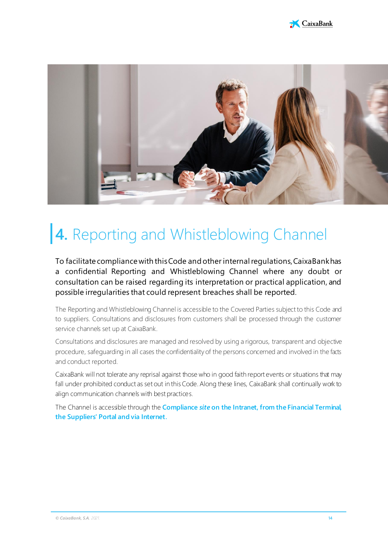



# <span id="page-14-0"></span>**4.** Reporting and Whistleblowing Channel

To facilitate compliance with this Code and other internal regulations, CaixaBank has a confidential Reporting and Whistleblowing Channel where any doubt or consultation can be raised regarding its interpretation or practical application, and possible irregularities that could represent breaches shall be reported.

The Reporting and Whistleblowing Channel is accessible to the Covered Parties subject to this Code and to suppliers. Consultations and disclosures from customers shall be processed through the customer service channels set up at CaixaBank.

Consultations and disclosures are managed and resolved by using a rigorous, transparent and objective procedure, safeguarding in all cases the confidentiality of the persons concerned and involved in the facts and conduct reported.

CaixaBank will not tolerate any reprisal against those who in good faith report events or situations that may fall under prohibited conduct as set out in this Code. Along these lines, CaixaBank shall continually work to align communication channels with best practices.

The Channel is accessible through the **Compliance** *site* **on the Intranet, from the Financial Terminal, the Suppliers' Portal and via Internet.**